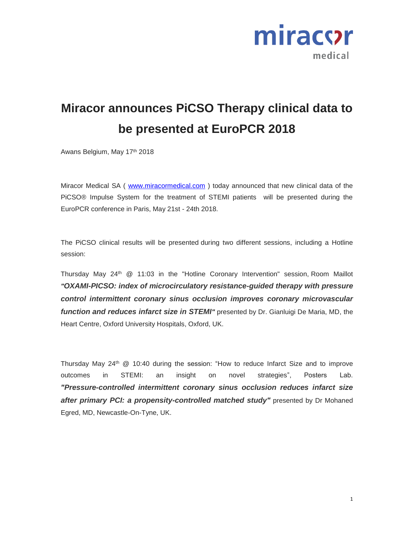

## **Miracor announces PiCSO Therapy clinical data to be presented at EuroPCR 2018**

Awans Belgium, May 17th 2018

Miracor Medical SA ( [www.miracormedical.com](http://www.miracormedical.com/) ) today announced that new clinical data of the PiCSO® Impulse System for the treatment of STEMI patients will be presented during the EuroPCR conference in Paris, May 21st - 24th 2018.

The PiCSO clinical results will be presented during two different sessions, including a Hotline session:

Thursday May  $24<sup>th</sup>$  @ 11:03 in the "Hotline Coronary Intervention" session, Room Maillot *"OXAMI-PICSO: index of microcirculatory resistance-guided therapy with pressure control intermittent coronary sinus occlusion improves coronary microvascular function and reduces infarct size in STEMI*<sup>"</sup> presented by Dr. Gianluigi De Maria, MD, the Heart Centre, Oxford University Hospitals, Oxford, UK.

Thursday May  $24<sup>th</sup>$  @ 10:40 during the session: "How to reduce Infarct Size and to improve outcomes in STEMI: an insight on novel strategies", Posters Lab. *"Pressure-controlled intermittent coronary sinus occlusion reduces infarct size*  after primary PCI: a propensity-controlled matched study" presented by Dr Mohaned Egred, MD, Newcastle-On-Tyne, UK.